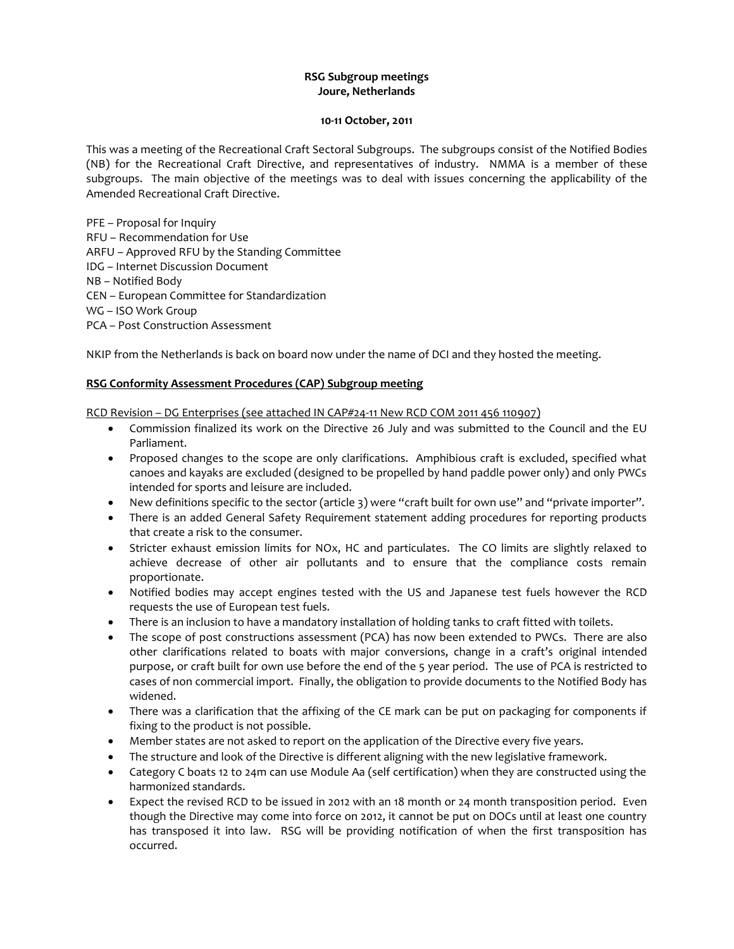# **RSG Subgroup meetings Joure, Netherlands**

#### **10-11 October, 2011**

This was a meeting of the Recreational Craft Sectoral Subgroups. The subgroups consist of the Notified Bodies (NB) for the Recreational Craft Directive, and representatives of industry. NMMA is a member of these subgroups. The main objective of the meetings was to deal with issues concerning the applicability of the Amended Recreational Craft Directive.

PFE – Proposal for Inquiry RFU – Recommendation for Use ARFU – Approved RFU by the Standing Committee IDG – Internet Discussion Document NB – Notified Body CEN – European Committee for Standardization WG – ISO Work Group PCA – Post Construction Assessment

NKIP from the Netherlands is back on board now under the name of DCI and they hosted the meeting.

# **RSG Conformity Assessment Procedures (CAP) Subgroup meeting**

RCD Revision – DG Enterprises (see attached IN CAP#24-11 New RCD COM 2011 456 110907)

- Commission finalized its work on the Directive 26 July and was submitted to the Council and the EU Parliament.
- Proposed changes to the scope are only clarifications. Amphibious craft is excluded, specified what canoes and kayaks are excluded (designed to be propelled by hand paddle power only) and only PWCs intended for sports and leisure are included.
- New definitions specific to the sector (article 3) were "craft built for own use" and "private importer".
- There is an added General Safety Requirement statement adding procedures for reporting products that create a risk to the consumer.
- Stricter exhaust emission limits for NOx, HC and particulates. The CO limits are slightly relaxed to achieve decrease of other air pollutants and to ensure that the compliance costs remain proportionate.
- Notified bodies may accept engines tested with the US and Japanese test fuels however the RCD requests the use of European test fuels.
- There is an inclusion to have a mandatory installation of holding tanks to craft fitted with toilets.
- The scope of post constructions assessment (PCA) has now been extended to PWCs. There are also other clarifications related to boats with major conversions, change in a craft's original intended purpose, or craft built for own use before the end of the 5 year period. The use of PCA is restricted to cases of non commercial import. Finally, the obligation to provide documents to the Notified Body has widened.
- There was a clarification that the affixing of the CE mark can be put on packaging for components if fixing to the product is not possible.
- Member states are not asked to report on the application of the Directive every five years.
- The structure and look of the Directive is different aligning with the new legislative framework.
- Category C boats 12 to 24m can use Module Aa (self certification) when they are constructed using the harmonized standards.
- Expect the revised RCD to be issued in 2012 with an 18 month or 24 month transposition period. Even though the Directive may come into force on 2012, it cannot be put on DOCs until at least one country has transposed it into law. RSG will be providing notification of when the first transposition has occurred.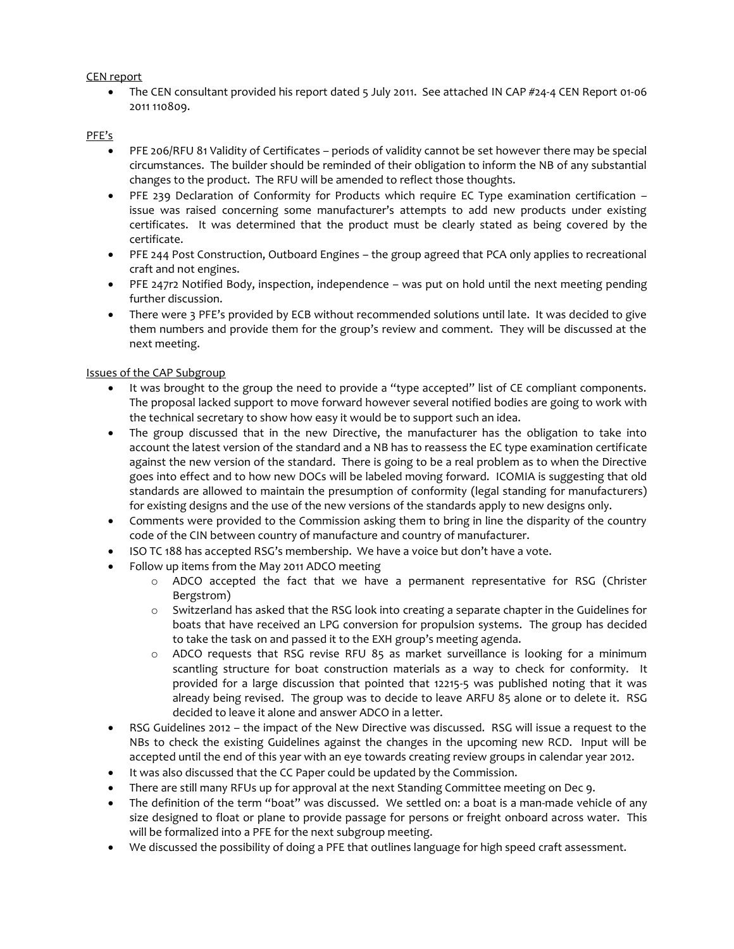# CEN report

• The CEN consultant provided his report dated 5 July 2011. See attached IN CAP #24-4 CEN Report 01-06 2011 110809.

# PFE's

- PFE 206/RFU 81 Validity of Certificates periods of validity cannot be set however there may be special circumstances. The builder should be reminded of their obligation to inform the NB of any substantial changes to the product. The RFU will be amended to reflect those thoughts.
- PFE 239 Declaration of Conformity for Products which require EC Type examination certification issue was raised concerning some manufacturer's attempts to add new products under existing certificates. It was determined that the product must be clearly stated as being covered by the certificate.
- PFE 244 Post Construction, Outboard Engines the group agreed that PCA only applies to recreational craft and not engines.
- PFE 247r2 Notified Body, inspection, independence was put on hold until the next meeting pending further discussion.
- There were 3 PFE's provided by ECB without recommended solutions until late. It was decided to give them numbers and provide them for the group's review and comment. They will be discussed at the next meeting.

# Issues of the CAP Subgroup

- It was brought to the group the need to provide a "type accepted" list of CE compliant components. The proposal lacked support to move forward however several notified bodies are going to work with the technical secretary to show how easy it would be to support such an idea.
- The group discussed that in the new Directive, the manufacturer has the obligation to take into account the latest version of the standard and a NB has to reassess the EC type examination certificate against the new version of the standard. There is going to be a real problem as to when the Directive goes into effect and to how new DOCs will be labeled moving forward. ICOMIA is suggesting that old standards are allowed to maintain the presumption of conformity (legal standing for manufacturers) for existing designs and the use of the new versions of the standards apply to new designs only.
- Comments were provided to the Commission asking them to bring in line the disparity of the country code of the CIN between country of manufacture and country of manufacturer.
- ISO TC 188 has accepted RSG's membership. We have a voice but don't have a vote.
- Follow up items from the May 2011 ADCO meeting
	- o ADCO accepted the fact that we have a permanent representative for RSG (Christer Bergstrom)
	- o Switzerland has asked that the RSG look into creating a separate chapter in the Guidelines for boats that have received an LPG conversion for propulsion systems. The group has decided to take the task on and passed it to the EXH group's meeting agenda.
	- $\circ$  ADCO requests that RSG revise RFU 85 as market surveillance is looking for a minimum scantling structure for boat construction materials as a way to check for conformity. It provided for a large discussion that pointed that 12215-5 was published noting that it was already being revised. The group was to decide to leave ARFU 85 alone or to delete it. RSG decided to leave it alone and answer ADCO in a letter.
- RSG Guidelines 2012 the impact of the New Directive was discussed. RSG will issue a request to the NBs to check the existing Guidelines against the changes in the upcoming new RCD. Input will be accepted until the end of this year with an eye towards creating review groups in calendar year 2012.
- It was also discussed that the CC Paper could be updated by the Commission.
- There are still many RFUs up for approval at the next Standing Committee meeting on Dec 9.
- The definition of the term "boat" was discussed. We settled on: a boat is a man-made vehicle of any size designed to float or plane to provide passage for persons or freight onboard across water. This will be formalized into a PFE for the next subgroup meeting.
- We discussed the possibility of doing a PFE that outlines language for high speed craft assessment.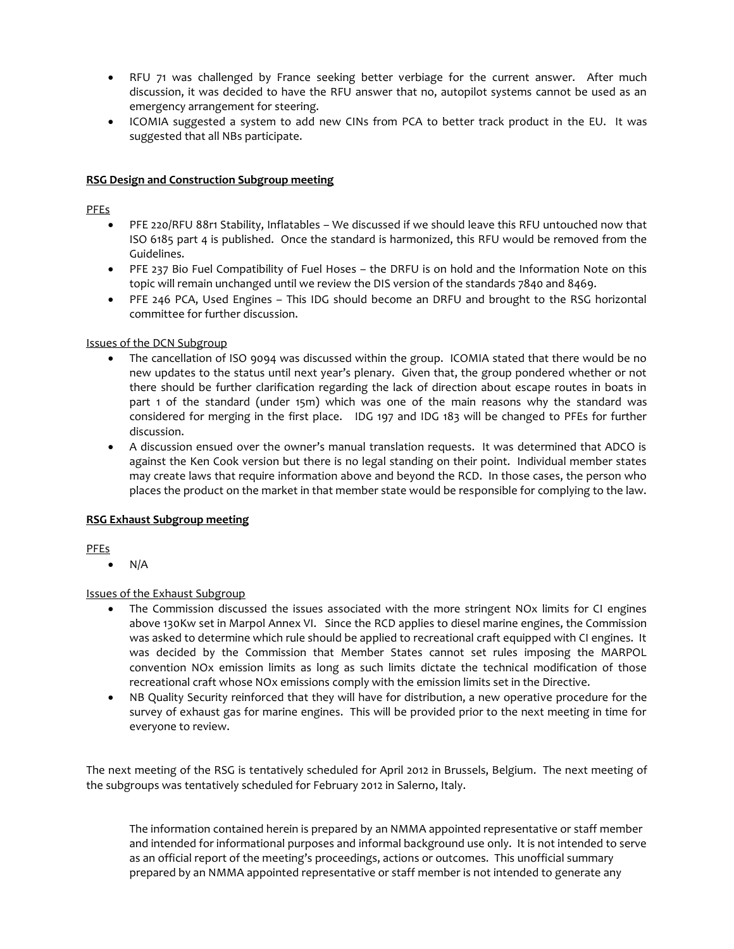- RFU 71 was challenged by France seeking better verbiage for the current answer. After much discussion, it was decided to have the RFU answer that no, autopilot systems cannot be used as an emergency arrangement for steering.
- ICOMIA suggested a system to add new CINs from PCA to better track product in the EU. It was suggested that all NBs participate.

## **RSG Design and Construction Subgroup meeting**

# PFEs

- PFE 220/RFU 88r1 Stability, Inflatables We discussed if we should leave this RFU untouched now that ISO 6185 part 4 is published. Once the standard is harmonized, this RFU would be removed from the Guidelines.
- PFE 237 Bio Fuel Compatibility of Fuel Hoses the DRFU is on hold and the Information Note on this topic will remain unchanged until we review the DIS version of the standards 7840 and 8469.
- PFE 246 PCA, Used Engines This IDG should become an DRFU and brought to the RSG horizontal committee for further discussion.

# Issues of the DCN Subgroup

- The cancellation of ISO 9094 was discussed within the group. ICOMIA stated that there would be no new updates to the status until next year's plenary. Given that, the group pondered whether or not there should be further clarification regarding the lack of direction about escape routes in boats in part 1 of the standard (under 15m) which was one of the main reasons why the standard was considered for merging in the first place. IDG 197 and IDG 183 will be changed to PFEs for further discussion.
- A discussion ensued over the owner's manual translation requests. It was determined that ADCO is against the Ken Cook version but there is no legal standing on their point. Individual member states may create laws that require information above and beyond the RCD. In those cases, the person who places the product on the market in that member state would be responsible for complying to the law.

# **RSG Exhaust Subgroup meeting**

PFEs

N/A

#### Issues of the Exhaust Subgroup

- The Commission discussed the issues associated with the more stringent NOx limits for CI engines above 130Kw set in Marpol Annex VI. Since the RCD applies to diesel marine engines, the Commission was asked to determine which rule should be applied to recreational craft equipped with CI engines. It was decided by the Commission that Member States cannot set rules imposing the MARPOL convention NOx emission limits as long as such limits dictate the technical modification of those recreational craft whose NOx emissions comply with the emission limits set in the Directive.
- NB Quality Security reinforced that they will have for distribution, a new operative procedure for the survey of exhaust gas for marine engines. This will be provided prior to the next meeting in time for everyone to review.

The next meeting of the RSG is tentatively scheduled for April 2012 in Brussels, Belgium. The next meeting of the subgroups was tentatively scheduled for February 2012 in Salerno, Italy.

The information contained herein is prepared by an NMMA appointed representative or staff member and intended for informational purposes and informal background use only. It is not intended to serve as an official report of the meeting's proceedings, actions or outcomes. This unofficial summary prepared by an NMMA appointed representative or staff member is not intended to generate any